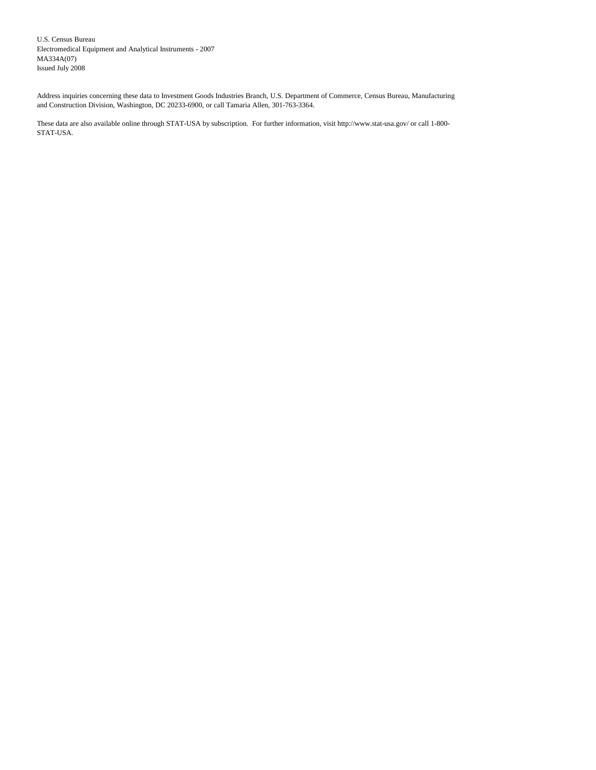U.S. Census Bureau Electromedical Equipment and Analytical Instruments - 2007 MA334A(07) Issued July 2008

Address inquiries concerning these data to Investment Goods Industries Branch, U.S. Department of Commerce, Census Bureau, Manufacturing and Construction Division, Washington, DC 20233-6900, or call Tamaria Allen, 301-763-3364.

These data are also available online through STAT-USA by subscription. For further information, visit http://www.stat-usa.gov/ or call 1-800- STAT-USA.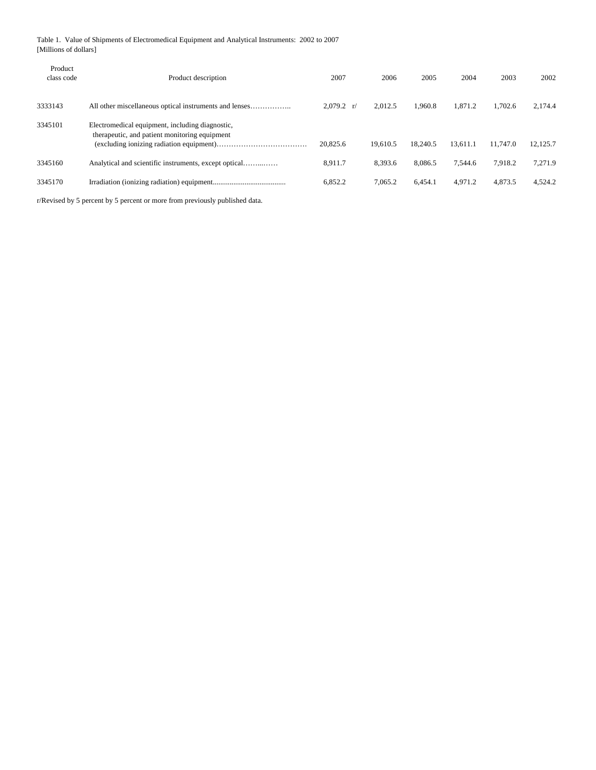Table 1. Value of Shipments of Electromedical Equipment and Analytical Instruments: 2002 to 2007 [Millions of dollars]

| Product<br>class code | Product description                                                                              | 2007                         | 2006     | 2005     | 2004     | 2003     | 2002     |
|-----------------------|--------------------------------------------------------------------------------------------------|------------------------------|----------|----------|----------|----------|----------|
| 3333143               |                                                                                                  | $2.079.2 \frac{\text{r}}{ }$ | 2.012.5  | 1.960.8  | 1.871.2  | 1.702.6  | 2.174.4  |
| 3345101               | Electromedical equipment, including diagnostic,<br>therapeutic, and patient monitoring equipment | 20,825.6                     | 19.610.5 | 18.240.5 | 13.611.1 | 11.747.0 | 12,125.7 |
| 3345160               | Analytical and scientific instruments, except optical                                            | 8.911.7                      | 8.393.6  | 8.086.5  | 7.544.6  | 7.918.2  | 7.271.9  |
| 3345170               |                                                                                                  | 6,852.2                      | 7,065.2  | 6.454.1  | 4.971.2  | 4,873.5  | 4.524.2  |

r/Revised by 5 percent by 5 percent or more from previously published data.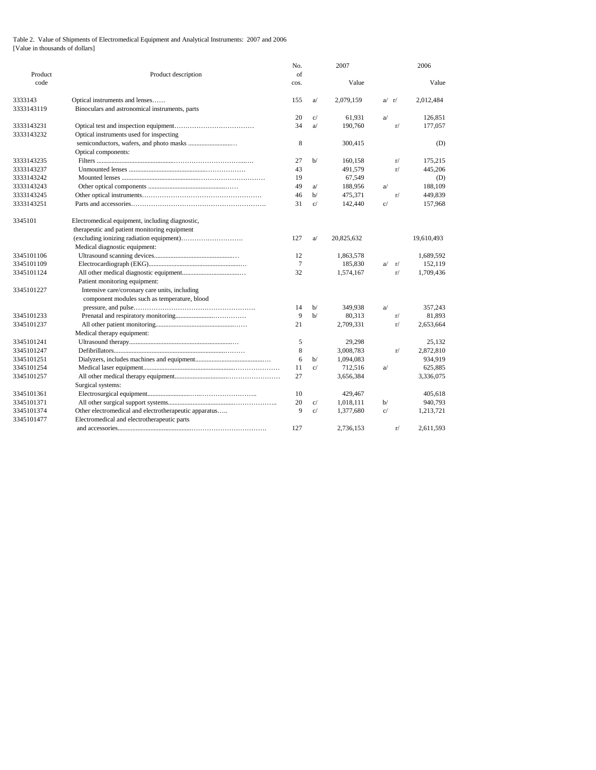## Table 2. Value of Shipments of Electromedical Equipment and Analytical Instruments: 2007 and 2006 [Value in thousands of dollars]

| Product    | Product description                                   | No.<br>of |    | 2007       |           |              | 2006       |
|------------|-------------------------------------------------------|-----------|----|------------|-----------|--------------|------------|
| code       |                                                       | cos.      |    | Value      |           |              | Value      |
| 3333143    | Optical instruments and lenses                        | 155       | a  | 2,079,159  | $a/$ $r/$ |              | 2,012,484  |
| 3333143119 | Binoculars and astronomical instruments, parts        |           |    |            |           |              |            |
|            |                                                       | 20        | C/ | 61.931     | a         |              | 126,851    |
| 3333143231 |                                                       | 34        | a  | 190,760    |           | r/           | 177,057    |
| 3333143232 | Optical instruments used for inspecting               |           |    |            |           |              |            |
|            |                                                       | 8         |    | 300,415    |           |              | (D)        |
|            | Optical components:                                   |           |    |            |           |              |            |
| 3333143235 |                                                       | 27        | h/ | 160,158    |           | r/           | 175,215    |
| 3333143237 |                                                       | 43        |    | 491,579    |           | r/           | 445,206    |
| 3333143242 |                                                       | 19        |    | 67,549     |           |              | (D)        |
| 3333143243 |                                                       | 49        | a  | 188,956    | a         |              | 188,109    |
| 3333143245 |                                                       | 46        | h/ | 475,371    |           | r/           | 449,839    |
| 3333143251 |                                                       | 31        | c/ | 142,440    | c/        |              | 157,968    |
| 3345101    | Electromedical equipment, including diagnostic,       |           |    |            |           |              |            |
|            | therapeutic and patient monitoring equipment          |           |    |            |           |              |            |
|            |                                                       | 127       | a  | 20,825,632 |           |              | 19,610,493 |
|            | Medical diagnostic equipment:                         |           |    |            |           |              |            |
| 3345101106 |                                                       | 12        |    | 1,863,578  |           |              | 1,689,592  |
| 3345101109 |                                                       | 7         |    | 185,830    |           | $a/\sqrt{r}$ | 152,119    |
| 3345101124 |                                                       | 32        |    | 1,574,167  |           | r/           | 1,709,436  |
|            | Patient monitoring equipment:                         |           |    |            |           |              |            |
| 3345101227 | Intensive care/coronary care units, including         |           |    |            |           |              |            |
|            | component modules such as temperature, blood          |           |    |            |           |              |            |
|            |                                                       | 14        | b/ | 349,938    | a         |              | 357,243    |
| 3345101233 |                                                       | 9         | b/ | 80,313     |           | r/           | 81,893     |
| 3345101237 |                                                       | 21        |    | 2,709,331  |           | r/           | 2,653,664  |
|            | Medical therapy equipment:                            |           |    |            |           |              |            |
| 3345101241 |                                                       | 5         |    | 29,298     |           |              | 25,132     |
| 3345101247 |                                                       | 8         |    | 3,008,783  |           | r/           | 2,872,810  |
| 3345101251 |                                                       | 6         | b/ | 1,094,083  |           |              | 934,919    |
| 3345101254 |                                                       | 11        | C/ | 712,516    | a         |              | 625,885    |
| 3345101257 |                                                       | 27        |    | 3,656,384  |           |              | 3,336,075  |
|            | Surgical systems:                                     |           |    |            |           |              |            |
| 3345101361 |                                                       | 10        |    | 429,467    |           |              | 405,618    |
| 3345101371 |                                                       | 20        | C/ | 1,018,111  | b/        |              | 940,793    |
| 3345101374 | Other electromedical and electrotherapeutic apparatus | 9         | C/ | 1,377,680  | C/        |              | 1,213,721  |
| 3345101477 | Electromedical and electrotherapeutic parts           |           |    |            |           |              |            |
|            |                                                       | 127       |    | 2.736.153  |           | r/           | 2,611,593  |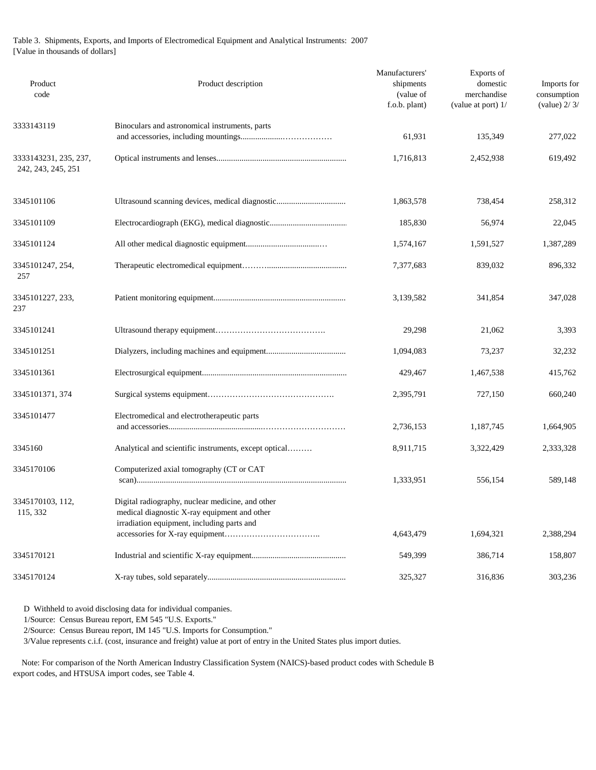## Table 3. Shipments, Exports, and Imports of Electromedical Equipment and Analytical Instruments: 2007 [Value in thousands of dollars]

| Product<br>code                             | Product description                                                                                                                            | Manufacturers'<br>shipments<br>(value of<br>f.o.b. plant) | Exports of<br>domestic<br>merchandise<br>(value at port) 1/ | Imports for<br>consumption<br>(value) $2/3/$ |
|---------------------------------------------|------------------------------------------------------------------------------------------------------------------------------------------------|-----------------------------------------------------------|-------------------------------------------------------------|----------------------------------------------|
| 3333143119                                  | Binoculars and astronomical instruments, parts                                                                                                 | 61,931                                                    | 135,349                                                     | 277,022                                      |
| 3333143231, 235, 237,<br>242, 243, 245, 251 |                                                                                                                                                | 1,716,813                                                 | 2,452,938                                                   | 619,492                                      |
| 3345101106                                  | Ultrasound scanning devices, medical diagnostic                                                                                                | 1,863,578                                                 | 738,454                                                     | 258,312                                      |
| 3345101109                                  |                                                                                                                                                | 185,830                                                   | 56,974                                                      | 22,045                                       |
| 3345101124                                  |                                                                                                                                                | 1,574,167                                                 | 1,591,527                                                   | 1,387,289                                    |
| 3345101247, 254,<br>257                     |                                                                                                                                                | 7,377,683                                                 | 839,032                                                     | 896,332                                      |
| 3345101227, 233,<br>237                     |                                                                                                                                                | 3,139,582                                                 | 341,854                                                     | 347,028                                      |
| 3345101241                                  |                                                                                                                                                | 29,298                                                    | 21,062                                                      | 3,393                                        |
| 3345101251                                  |                                                                                                                                                | 1,094,083                                                 | 73,237                                                      | 32,232                                       |
| 3345101361                                  |                                                                                                                                                | 429,467                                                   | 1,467,538                                                   | 415,762                                      |
| 3345101371, 374                             |                                                                                                                                                | 2,395,791                                                 | 727,150                                                     | 660,240                                      |
| 3345101477                                  | Electromedical and electrotherapeutic parts                                                                                                    | 2,736,153                                                 | 1,187,745                                                   | 1,664,905                                    |
| 3345160                                     | Analytical and scientific instruments, except optical                                                                                          | 8,911,715                                                 | 3,322,429                                                   | 2,333,328                                    |
| 3345170106                                  | Computerized axial tomography (CT or CAT                                                                                                       | 1,333,951                                                 | 556,154                                                     | 589,148                                      |
| 3345170103, 112,<br>115, 332                | Digital radiography, nuclear medicine, and other<br>medical diagnostic X-ray equipment and other<br>irradiation equipment, including parts and | 4,643,479                                                 | 1,694,321                                                   | 2,388,294                                    |
| 3345170121                                  |                                                                                                                                                | 549,399                                                   | 386,714                                                     | 158,807                                      |
| 3345170124                                  |                                                                                                                                                | 325,327                                                   | 316,836                                                     | 303,236                                      |

D Withheld to avoid disclosing data for individual companies.

1/Source: Census Bureau report, EM 545 "U.S. Exports."

2/Source: Census Bureau report, IM 145 "U.S. Imports for Consumption."

3/Value represents c.i.f. (cost, insurance and freight) value at port of entry in the United States plus import duties.

 Note: For comparison of the North American Industry Classification System (NAICS)-based product codes with Schedule B export codes, and HTSUSA import codes, see Table 4.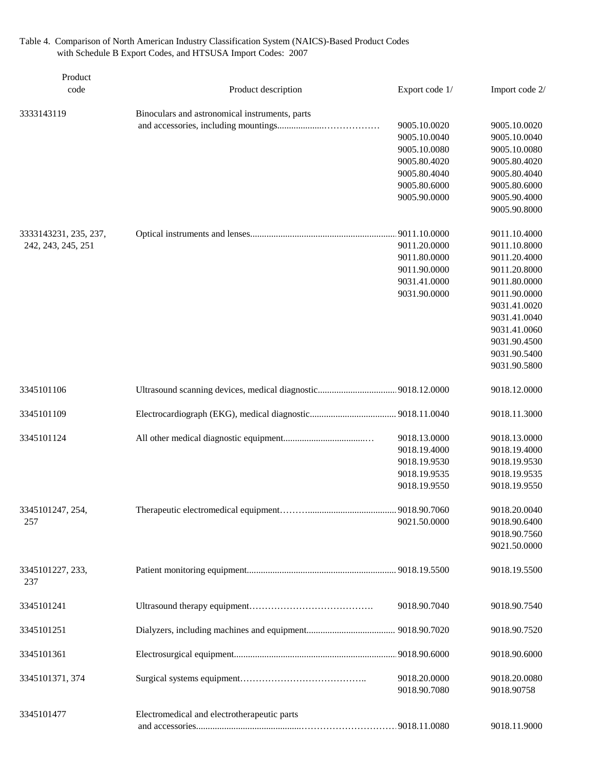Table 4. Comparison of North American Industry Classification System (NAICS)-Based Product Codes with Schedule B Export Codes, and HTSUSA Import Codes: 2007

| Product<br>code         | Product description                            | Export code 1/ | Import code 2/ |
|-------------------------|------------------------------------------------|----------------|----------------|
| 3333143119              | Binoculars and astronomical instruments, parts |                |                |
|                         |                                                | 9005.10.0020   | 9005.10.0020   |
|                         |                                                | 9005.10.0040   | 9005.10.0040   |
|                         |                                                | 9005.10.0080   | 9005.10.0080   |
|                         |                                                | 9005.80.4020   | 9005.80.4020   |
|                         |                                                | 9005.80.4040   | 9005.80.4040   |
|                         |                                                | 9005.80.6000   | 9005.80.6000   |
|                         |                                                | 9005.90.0000   | 9005.90.4000   |
|                         |                                                |                | 9005.90.8000   |
| 3333143231, 235, 237,   |                                                |                | 9011.10.4000   |
| 242, 243, 245, 251      |                                                | 9011.20.0000   | 9011.10.8000   |
|                         |                                                | 9011.80.0000   | 9011.20.4000   |
|                         |                                                | 9011.90.0000   | 9011.20.8000   |
|                         |                                                | 9031.41.0000   | 9011.80.0000   |
|                         |                                                | 9031.90.0000   | 9011.90.0000   |
|                         |                                                |                | 9031.41.0020   |
|                         |                                                |                | 9031.41.0040   |
|                         |                                                |                | 9031.41.0060   |
|                         |                                                |                | 9031.90.4500   |
|                         |                                                |                | 9031.90.5400   |
|                         |                                                |                | 9031.90.5800   |
| 3345101106              |                                                |                | 9018.12.0000   |
| 3345101109              |                                                |                | 9018.11.3000   |
| 3345101124              |                                                | 9018.13.0000   | 9018.13.0000   |
|                         |                                                | 9018.19.4000   | 9018.19.4000   |
|                         |                                                | 9018.19.9530   | 9018.19.9530   |
|                         |                                                | 9018.19.9535   | 9018.19.9535   |
|                         |                                                | 9018.19.9550   | 9018.19.9550   |
| 3345101247, 254,        |                                                |                | 9018.20.0040   |
| 257                     |                                                | 9021.50.0000   | 9018.90.6400   |
|                         |                                                |                | 9018.90.7560   |
|                         |                                                |                | 9021.50.0000   |
| 3345101227, 233,<br>237 |                                                |                | 9018.19.5500   |
| 3345101241              |                                                | 9018.90.7040   | 9018.90.7540   |
| 3345101251              |                                                |                | 9018.90.7520   |
| 3345101361              |                                                |                | 9018.90.6000   |
| 3345101371, 374         |                                                | 9018.20.0000   | 9018.20.0080   |
|                         |                                                | 9018.90.7080   | 9018.90758     |
| 3345101477              | Electromedical and electrotherapeutic parts    |                |                |
|                         |                                                |                | 9018.11.9000   |
|                         |                                                |                |                |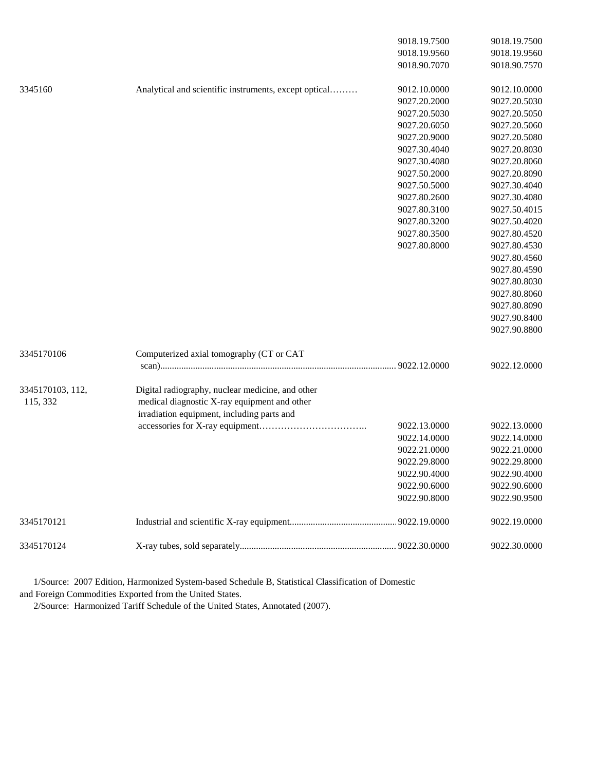|                  |                                                       | 9018.19.7500 | 9018.19.7500 |
|------------------|-------------------------------------------------------|--------------|--------------|
|                  |                                                       | 9018.19.9560 | 9018.19.9560 |
|                  |                                                       | 9018.90.7070 | 9018.90.7570 |
| 3345160          | Analytical and scientific instruments, except optical | 9012.10.0000 | 9012.10.0000 |
|                  |                                                       | 9027.20.2000 | 9027.20.5030 |
|                  |                                                       | 9027.20.5030 | 9027.20.5050 |
|                  |                                                       | 9027.20.6050 | 9027.20.5060 |
|                  |                                                       | 9027.20.9000 | 9027.20.5080 |
|                  |                                                       | 9027.30.4040 | 9027.20.8030 |
|                  |                                                       | 9027.30.4080 | 9027.20.8060 |
|                  |                                                       | 9027.50.2000 | 9027.20.8090 |
|                  |                                                       | 9027.50.5000 | 9027.30.4040 |
|                  |                                                       | 9027.80.2600 | 9027.30.4080 |
|                  |                                                       | 9027.80.3100 | 9027.50.4015 |
|                  |                                                       | 9027.80.3200 | 9027.50.4020 |
|                  |                                                       | 9027.80.3500 | 9027.80.4520 |
|                  |                                                       | 9027.80.8000 | 9027.80.4530 |
|                  |                                                       |              | 9027.80.4560 |
|                  |                                                       |              | 9027.80.4590 |
|                  |                                                       |              | 9027.80.8030 |
|                  |                                                       |              | 9027.80.8060 |
|                  |                                                       |              | 9027.80.8090 |
|                  |                                                       |              | 9027.90.8400 |
|                  |                                                       |              | 9027.90.8800 |
| 3345170106       | Computerized axial tomography (CT or CAT              |              |              |
|                  |                                                       |              | 9022.12.0000 |
| 3345170103, 112, | Digital radiography, nuclear medicine, and other      |              |              |
| 115, 332         | medical diagnostic X-ray equipment and other          |              |              |
|                  | irradiation equipment, including parts and            |              |              |
|                  |                                                       | 9022.13.0000 | 9022.13.0000 |
|                  |                                                       | 9022.14.0000 | 9022.14.0000 |
|                  |                                                       | 9022.21.0000 | 9022.21.0000 |
|                  |                                                       | 9022.29.8000 | 9022.29.8000 |
|                  |                                                       | 9022.90.4000 | 9022.90.4000 |
|                  |                                                       | 9022.90.6000 | 9022.90.6000 |
|                  |                                                       | 9022.90.8000 | 9022.90.9500 |
| 3345170121       |                                                       |              | 9022.19.0000 |
| 3345170124       |                                                       |              | 9022.30.0000 |

 1/Source: 2007 Edition, Harmonized System-based Schedule B, Statistical Classification of Domestic and Foreign Commodities Exported from the United States.

2/Source: Harmonized Tariff Schedule of the United States, Annotated (2007).